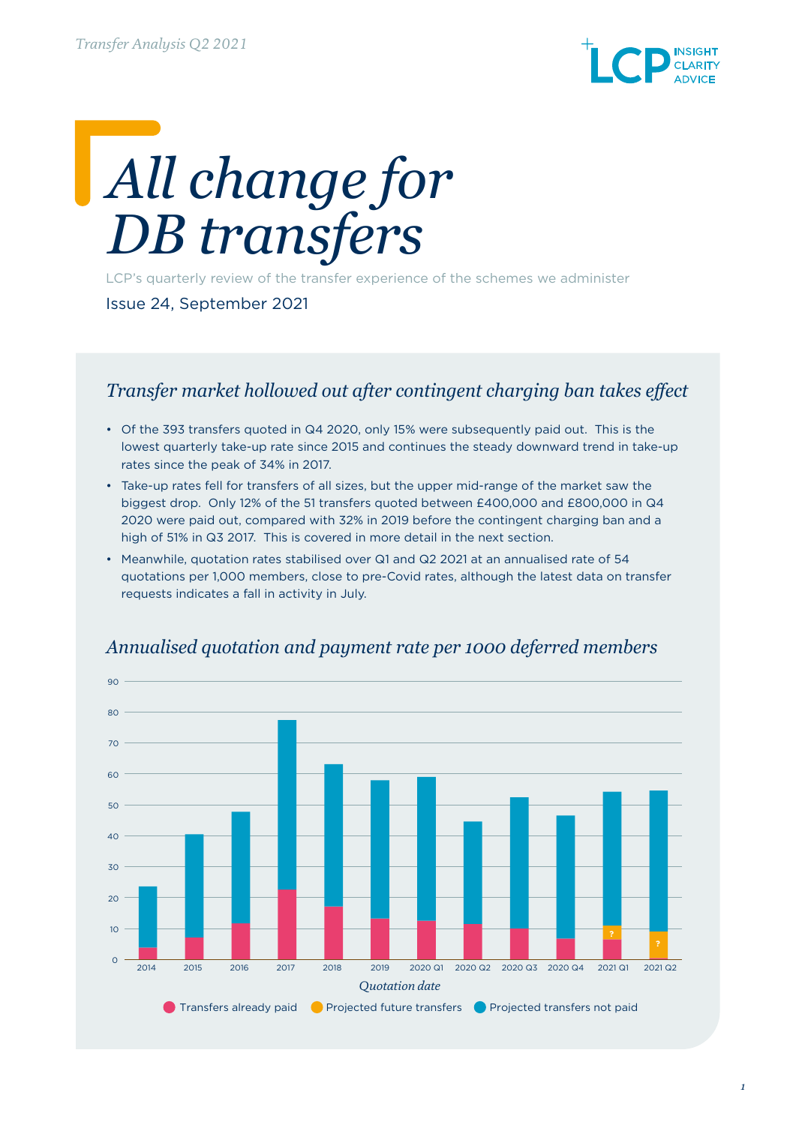

# *All change for DB transfers*

LCP's quarterly review of the transfer experience of the schemes we administer

Issue 24, September 2021

#### *Transfer market hollowed out after contingent charging ban takes effect*

- Of the 393 transfers quoted in Q4 2020, only 15% were subsequently paid out. This is the lowest quarterly take-up rate since 2015 and continues the steady downward trend in take-up rates since the peak of 34% in 2017.
- Take-up rates fell for transfers of all sizes, but the upper mid-range of the market saw the biggest drop. Only 12% of the 51 transfers quoted between £400,000 and £800,000 in Q4 2020 were paid out, compared with 32% in 2019 before the contingent charging ban and a high of 51% in Q3 2017. This is covered in more detail in the next section.
- Meanwhile, quotation rates stabilised over Q1 and Q2 2021 at an annualised rate of 54 quotations per 1,000 members, close to pre-Covid rates, although the latest data on transfer requests indicates a fall in activity in July.



#### *Annualised quotation and payment rate per 1000 deferred members*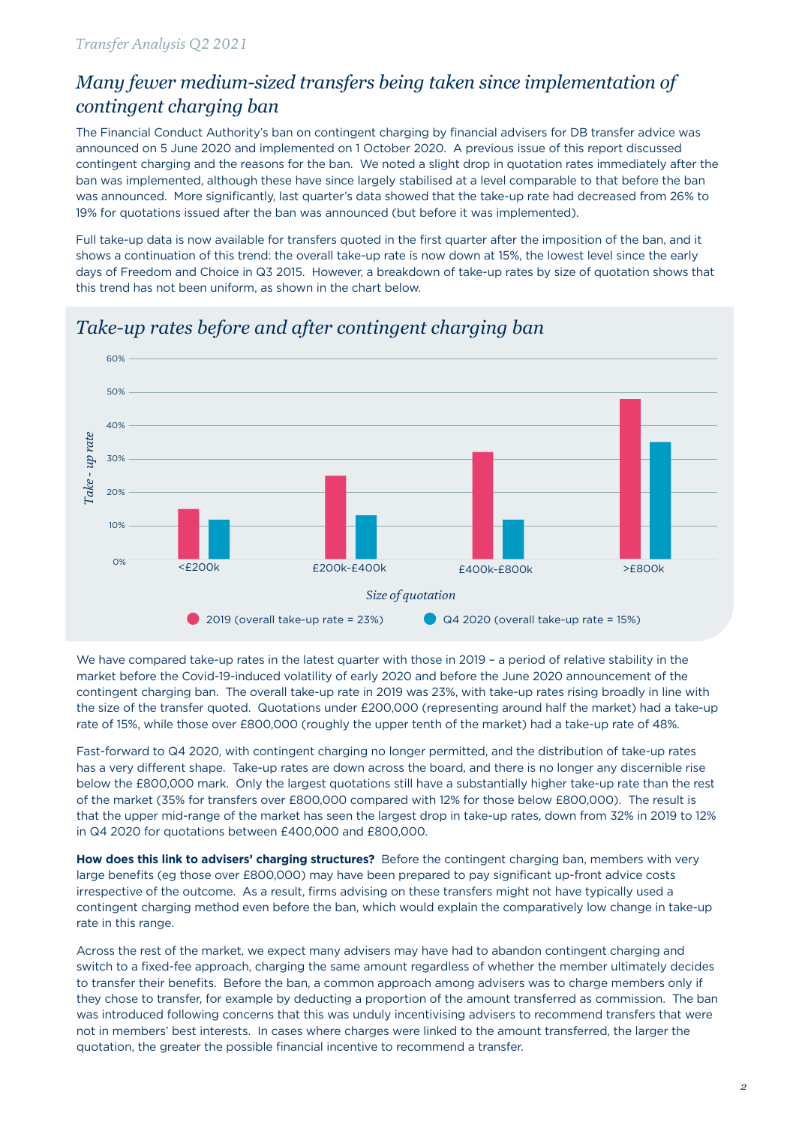## *Many fewer medium-sized transfers being taken since implementation of contingent charging ban*

The Financial Conduct Authority's ban on contingent charging by financial advisers for DB transfer advice was announced on 5 June 2020 and implemented on 1 October 2020. A previous issue of this report discussed contingent charging and the reasons for the ban. We noted a slight drop in quotation rates immediately after the ban was implemented, although these have since largely stabilised at a level comparable to that before the ban was announced. More significantly, last quarter's data showed that the take-up rate had decreased from 26% to 19% for quotations issued after the ban was announced (but before it was implemented).

Full take-up data is now available for transfers quoted in the first quarter after the imposition of the ban, and it shows a continuation of this trend: the overall take-up rate is now down at 15%, the lowest level since the early days of Freedom and Choice in Q3 2015. However, a breakdown of take-up rates by size of quotation shows that this trend has not been uniform, as shown in the chart below.



## *Take-up rates before and after contingent charging ban*

We have compared take-up rates in the latest quarter with those in 2019 - a period of relative stability in the market before the Covid-19-induced volatility of early 2020 and before the June 2020 announcement of the contingent charging ban. The overall take-up rate in 2019 was 23%, with take-up rates rising broadly in line with the size of the transfer quoted. Quotations under £200,000 (representing around half the market) had a take-up rate of 15%, while those over £800,000 (roughly the upper tenth of the market) had a take-up rate of 48%.

Fast-forward to Q4 2020, with contingent charging no longer permitted, and the distribution of take-up rates has a very different shape. Take-up rates are down across the board, and there is no longer any discernible rise below the £800,000 mark. Only the largest quotations still have a substantially higher take-up rate than the rest of the market (35% for transfers over £800,000 compared with 12% for those below £800,000). The result is that the upper mid-range of the market has seen the largest drop in take-up rates, down from 32% in 2019 to 12% in Q4 2020 for quotations between £400,000 and £800,000.

**How does this link to advisers' charging structures?** Before the contingent charging ban, members with very large benefits (eg those over £800,000) may have been prepared to pay significant up-front advice costs irrespective of the outcome. As a result, firms advising on these transfers might not have typically used a contingent charging method even before the ban, which would explain the comparatively low change in take-up rate in this range.

Across the rest of the market, we expect many advisers may have had to abandon contingent charging and switch to a fixed-fee approach, charging the same amount regardless of whether the member ultimately decides to transfer their benefits. Before the ban, a common approach among advisers was to charge members only if they chose to transfer, for example by deducting a proportion of the amount transferred as commission. The ban was introduced following concerns that this was unduly incentivising advisers to recommend transfers that were not in members' best interests. In cases where charges were linked to the amount transferred, the larger the quotation, the greater the possible financial incentive to recommend a transfer.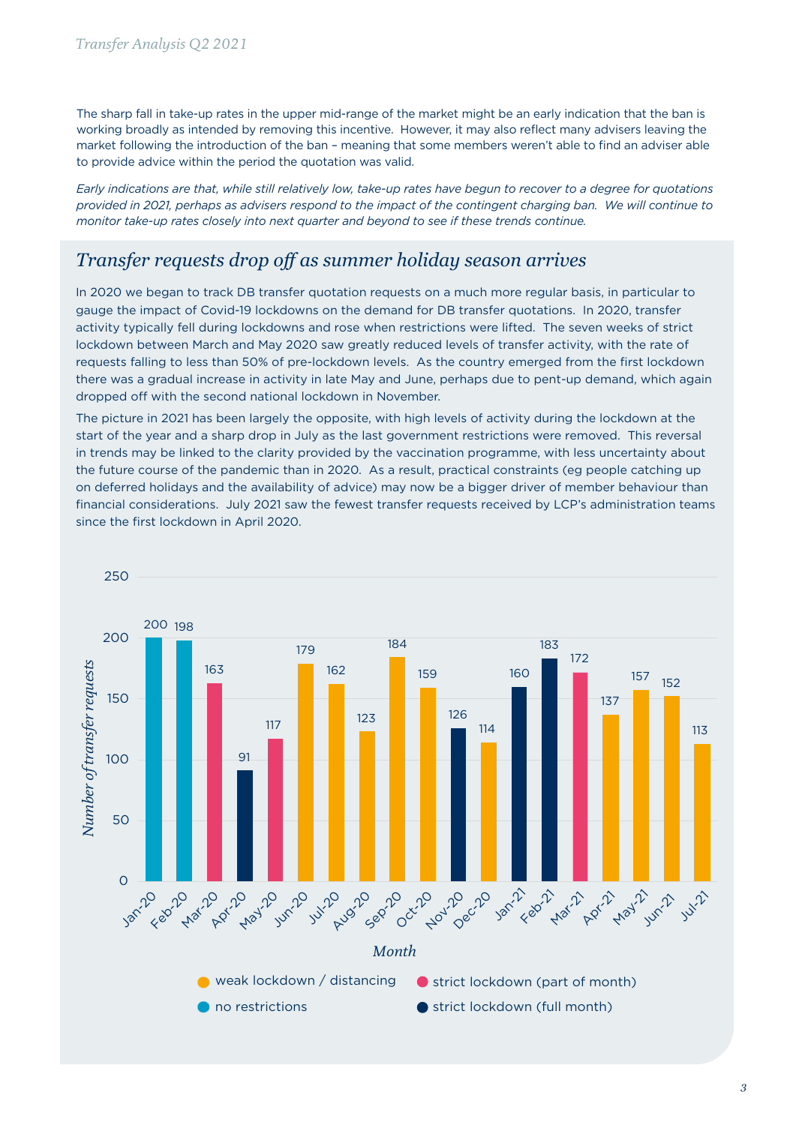The sharp fall in take-up rates in the upper mid-range of the market might be an early indication that the ban is working broadly as intended by removing this incentive. However, it may also reflect many advisers leaving the market following the introduction of the ban – meaning that some members weren't able to find an adviser able to provide advice within the period the quotation was valid.

*Early indications are that, while still relatively low, take-up rates have begun to recover to a degree for quotations provided in 2021, perhaps as advisers respond to the impact of the contingent charging ban. We will continue to monitor take-up rates closely into next quarter and beyond to see if these trends continue.*

#### *Transfer requests drop off as summer holiday season arrives*

In 2020 we began to track DB transfer quotation requests on a much more regular basis, in particular to gauge the impact of Covid-19 lockdowns on the demand for DB transfer quotations. In 2020, transfer activity typically fell during lockdowns and rose when restrictions were lifted. The seven weeks of strict lockdown between March and May 2020 saw greatly reduced levels of transfer activity, with the rate of requests falling to less than 50% of pre-lockdown levels. As the country emerged from the first lockdown there was a gradual increase in activity in late May and June, perhaps due to pent-up demand, which again dropped off with the second national lockdown in November.

The picture in 2021 has been largely the opposite, with high levels of activity during the lockdown at the start of the year and a sharp drop in July as the last government restrictions were removed. This reversal in trends may be linked to the clarity provided by the vaccination programme, with less uncertainty about the future course of the pandemic than in 2020. As a result, practical constraints (eg people catching up on deferred holidays and the availability of advice) may now be a bigger driver of member behaviour than financial considerations. July 2021 saw the fewest transfer requests received by LCP's administration teams since the first lockdown in April 2020.

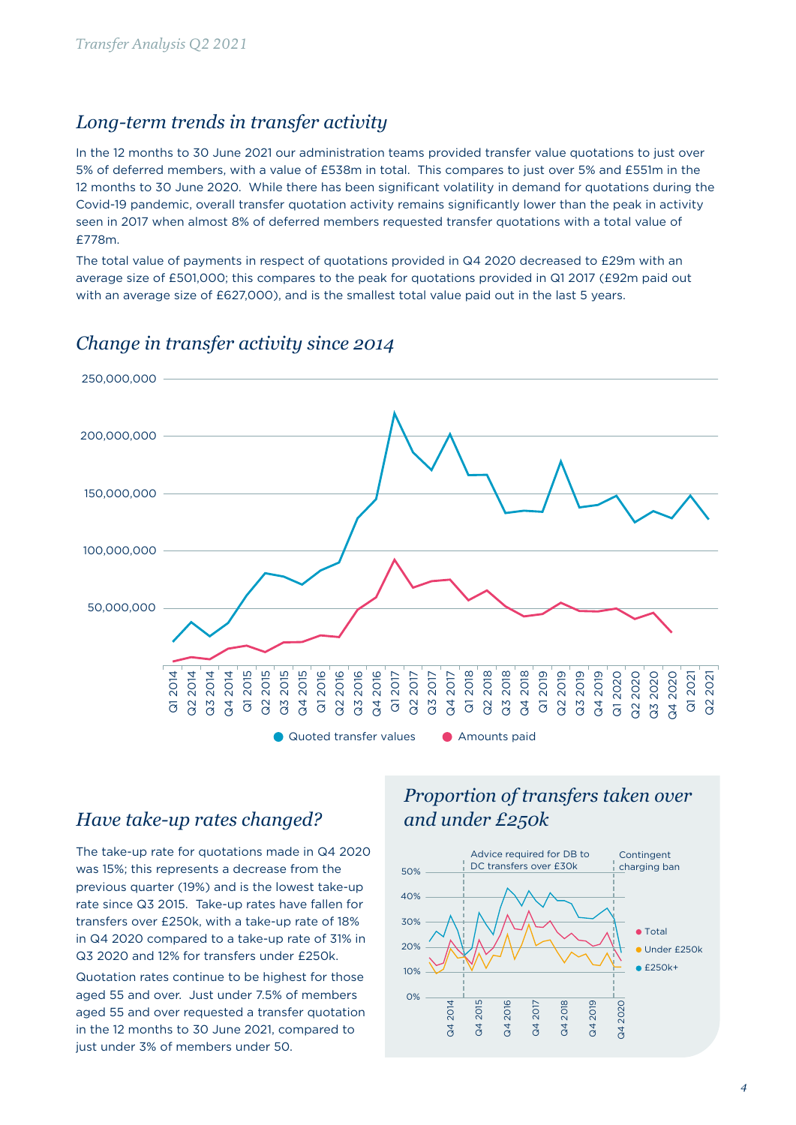#### *Long-term trends in transfer activity*

In the 12 months to 30 June 2021 our administration teams provided transfer value quotations to just over 5% of deferred members, with a value of £538m in total. This compares to just over 5% and £551m in the 12 months to 30 June 2020. While there has been significant volatility in demand for quotations during the Covid-19 pandemic, overall transfer quotation activity remains significantly lower than the peak in activity seen in 2017 when almost 8% of deferred members requested transfer quotations with a total value of £778m.

The total value of payments in respect of quotations provided in Q4 2020 decreased to £29m with an average size of £501,000; this compares to the peak for quotations provided in Q1 2017 (£92m paid out with an average size of £627,000), and is the smallest total value paid out in the last 5 years.



#### *Change in transfer activity since 2014*

#### *Have take-up rates changed?*

The take-up rate for quotations made in Q4 2020 was 15%; this represents a decrease from the previous quarter (19%) and is the lowest take-up rate since Q3 2015. Take-up rates have fallen for transfers over £250k, with a take-up rate of 18% in Q4 2020 compared to a take-up rate of 31% in Q3 2020 and 12% for transfers under £250k.

Quotation rates continue to be highest for those aged 55 and over. Just under 7.5% of members aged 55 and over requested a transfer quotation in the 12 months to 30 June 2021, compared to just under 3% of members under 50.

# *Proportion of transfers taken over and under £250k*